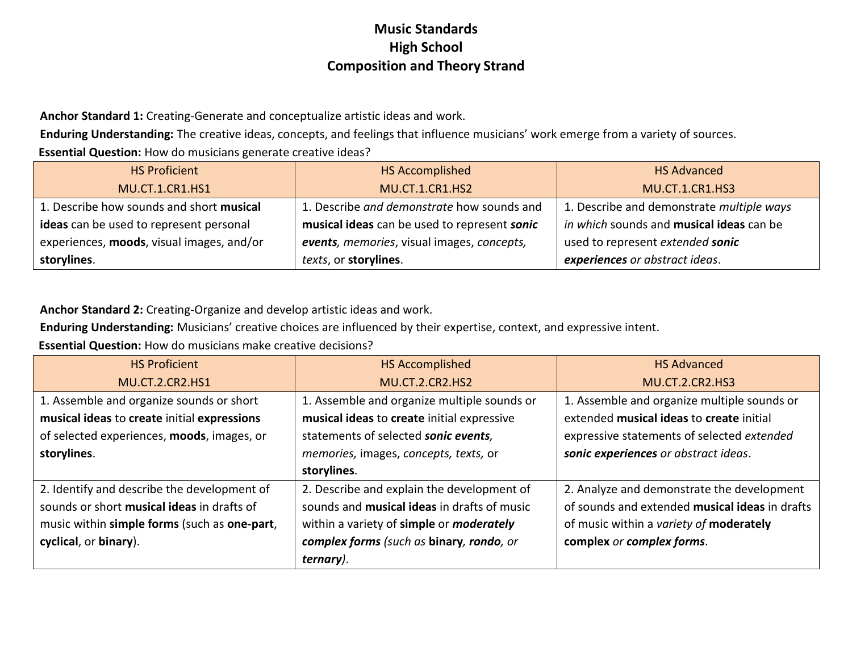**Anchor Standard 1:** Creating-Generate and conceptualize artistic ideas and work.

**Enduring Understanding:** The creative ideas, concepts, and feelings that influence musicians' work emerge from a variety of sources.

**Essential Question:** How do musicians generate creative ideas?

| <b>HS Proficient</b>                      | <b>HS Accomplished</b>                       | <b>HS Advanced</b>                        |
|-------------------------------------------|----------------------------------------------|-------------------------------------------|
| <b>MU.CT.1.CR1.HS1</b>                    | <b>MU.CT.1.CR1.HS2</b>                       | <b>MU.CT.1.CR1.HS3</b>                    |
| 1. Describe how sounds and short musical  | 1. Describe and demonstrate how sounds and   | 1. Describe and demonstrate multiple ways |
| ideas can be used to represent personal   | musical ideas can be used to represent sonic | in which sounds and musical ideas can be  |
| experiences, moods, visual images, and/or | events, memories, visual images, concepts,   | used to represent extended sonic          |
| storylines.                               | texts, or storylines.                        | experiences or abstract ideas.            |

**Anchor Standard 2:** Creating-Organize and develop artistic ideas and work.

**Enduring Understanding:** Musicians' creative choices are influenced by their expertise, context, and expressive intent.

**Essential Question:** How do musicians make creative decisions?

| <b>HS Proficient</b>                         | <b>HS Accomplished</b>                             | <b>HS Advanced</b>                             |
|----------------------------------------------|----------------------------------------------------|------------------------------------------------|
| <b>MU.CT.2.CR2.HS1</b>                       | <b>MU.CT.2.CR2.HS2</b>                             | <b>MU.CT.2.CR2.HS3</b>                         |
| 1. Assemble and organize sounds or short     | 1. Assemble and organize multiple sounds or        | 1. Assemble and organize multiple sounds or    |
| musical ideas to create initial expressions  | musical ideas to create initial expressive         | extended musical ideas to create initial       |
| of selected experiences, moods, images, or   | statements of selected sonic events,               | expressive statements of selected extended     |
| storylines.                                  | memories, images, concepts, texts, or              | sonic experiences or abstract ideas.           |
|                                              | storylines.                                        |                                                |
| 2. Identify and describe the development of  | 2. Describe and explain the development of         | 2. Analyze and demonstrate the development     |
| sounds or short musical ideas in drafts of   | sounds and <b>musical ideas</b> in drafts of music | of sounds and extended musical ideas in drafts |
| music within simple forms (such as one-part, | within a variety of simple or <i>moderately</i>    | of music within a variety of moderately        |
| cyclical, or binary).                        | complex forms (such as binary, rondo, or           | complex or complex forms.                      |
|                                              | ternary).                                          |                                                |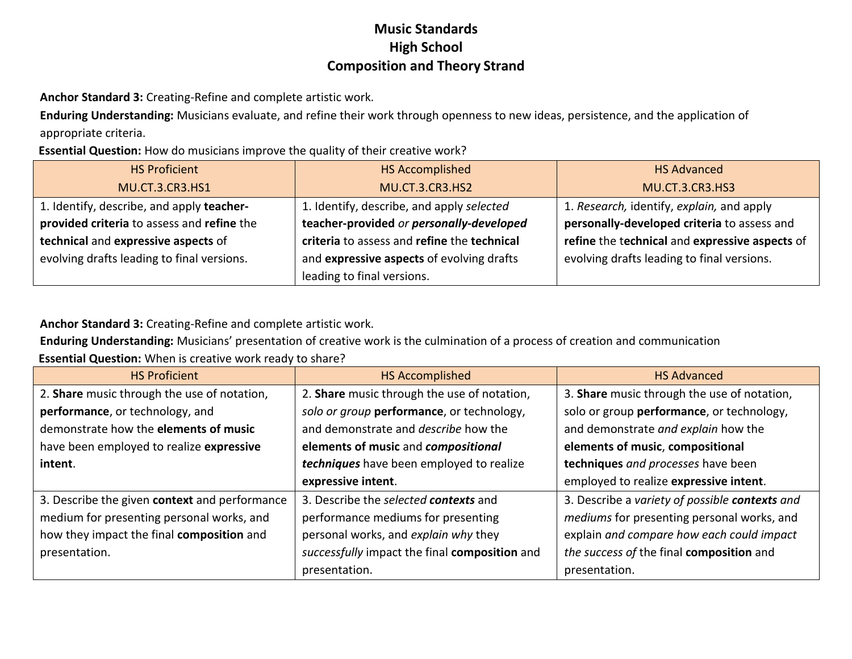**Anchor Standard 3:** Creating-Refine and complete artistic work.

**Enduring Understanding:** Musicians evaluate, and refine their work through openness to new ideas, persistence, and the application of appropriate criteria.

**Essential Question:** How do musicians improve the quality of their creative work?

| <b>HS Proficient</b>                       | <b>HS Accomplished</b>                      | <b>HS Advanced</b>                             |
|--------------------------------------------|---------------------------------------------|------------------------------------------------|
| <b>MU.CT.3.CR3.HS1</b>                     | MU.CT.3.CR3.HS2                             | MU.CT.3.CR3.HS3                                |
| 1. Identify, describe, and apply teacher-  | 1. Identify, describe, and apply selected   | 1. Research, identify, explain, and apply      |
| provided criteria to assess and refine the | teacher-provided or personally-developed    | personally-developed criteria to assess and    |
| technical and expressive aspects of        | criteria to assess and refine the technical | refine the technical and expressive aspects of |
| evolving drafts leading to final versions. | and expressive aspects of evolving drafts   | evolving drafts leading to final versions.     |
|                                            | leading to final versions.                  |                                                |

**Anchor Standard 3:** Creating-Refine and complete artistic work.

**Enduring Understanding:** Musicians' presentation of creative work is the culmination of a process of creation and communication

**Essential Question:** When is creative work ready to share?

| <b>HS Proficient</b>                          | <b>HS Accomplished</b>                        | <b>HS Advanced</b>                             |
|-----------------------------------------------|-----------------------------------------------|------------------------------------------------|
| 2. Share music through the use of notation,   | 2. Share music through the use of notation,   | 3. Share music through the use of notation,    |
| performance, or technology, and               | solo or group performance, or technology,     | solo or group performance, or technology,      |
| demonstrate how the elements of music         | and demonstrate and <i>describe</i> how the   | and demonstrate and explain how the            |
| have been employed to realize expressive      | elements of music and compositional           | elements of music, compositional               |
| intent.                                       | techniques have been employed to realize      | techniques and processes have been             |
|                                               | expressive intent.                            | employed to realize expressive intent.         |
| 3. Describe the given context and performance | 3. Describe the selected contexts and         | 3. Describe a variety of possible contexts and |
| medium for presenting personal works, and     | performance mediums for presenting            | mediums for presenting personal works, and     |
| how they impact the final composition and     | personal works, and explain why they          | explain and compare how each could impact      |
| presentation.                                 | successfully impact the final composition and | the success of the final composition and       |
|                                               | presentation.                                 | presentation.                                  |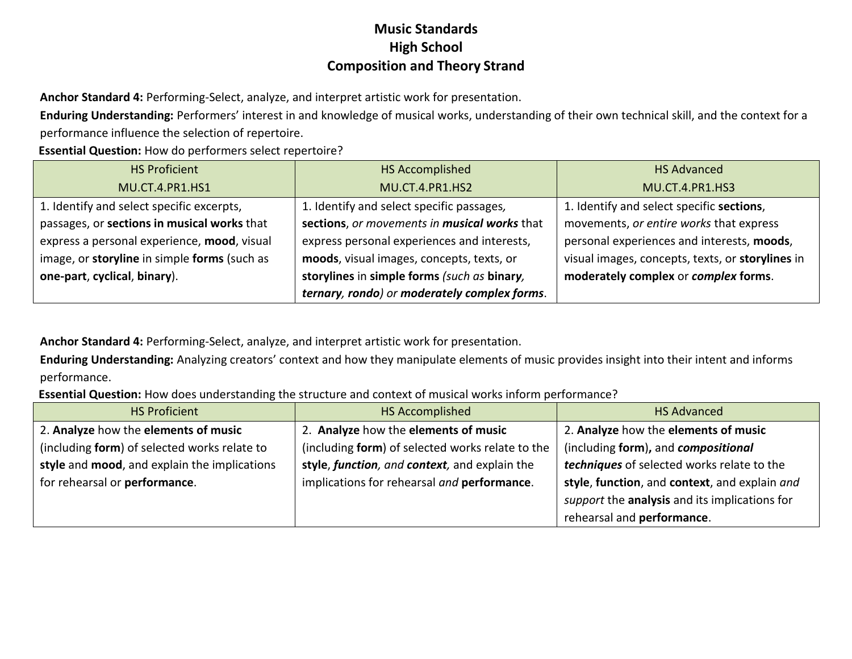**Anchor Standard 4:** Performing-Select, analyze, and interpret artistic work for presentation.

**Enduring Understanding:** Performers' interest in and knowledge of musical works, understanding of their own technical skill, and the context for a performance influence the selection of repertoire.

**Essential Question:** How do performers select repertoire?

| <b>HS Proficient</b>                         | <b>HS Accomplished</b>                       | <b>HS Advanced</b>                               |
|----------------------------------------------|----------------------------------------------|--------------------------------------------------|
| MU.CT.4.PR1.HS1                              | MU.CT.4.PR1.HS2                              | MU.CT.4.PR1.HS3                                  |
| 1. Identify and select specific excerpts,    | 1. Identify and select specific passages,    | 1. Identify and select specific sections,        |
| passages, or sections in musical works that  | sections, or movements in musical works that | movements, or entire works that express          |
| express a personal experience, mood, visual  | express personal experiences and interests,  | personal experiences and interests, moods,       |
| image, or storyline in simple forms (such as | moods, visual images, concepts, texts, or    | visual images, concepts, texts, or storylines in |
| one-part, cyclical, binary).                 | storylines in simple forms (such as binary,  | moderately complex or complex forms.             |
|                                              | ternary, rondo) or moderately complex forms. |                                                  |

**Anchor Standard 4:** Performing-Select, analyze, and interpret artistic work for presentation.

**Enduring Understanding:** Analyzing creators' context and how they manipulate elements of music provides insight into their intent and informs performance.

**Essential Question:** How does understanding the structure and context of musical works inform performance?

| <b>HS Proficient</b>                         | HS Accomplished                                  | <b>HS Advanced</b>                            |
|----------------------------------------------|--------------------------------------------------|-----------------------------------------------|
| 2. Analyze how the elements of music         | 2. Analyze how the elements of music             | 2. Analyze how the elements of music          |
| (including form) of selected works relate to | (including form) of selected works relate to the | (including form), and compositional           |
| style and mood, and explain the implications | style, function, and context, and explain the    | techniques of selected works relate to the    |
| for rehearsal or performance.                | implications for rehearsal and performance.      | style, function, and context, and explain and |
|                                              |                                                  | support the analysis and its implications for |
|                                              |                                                  | rehearsal and performance.                    |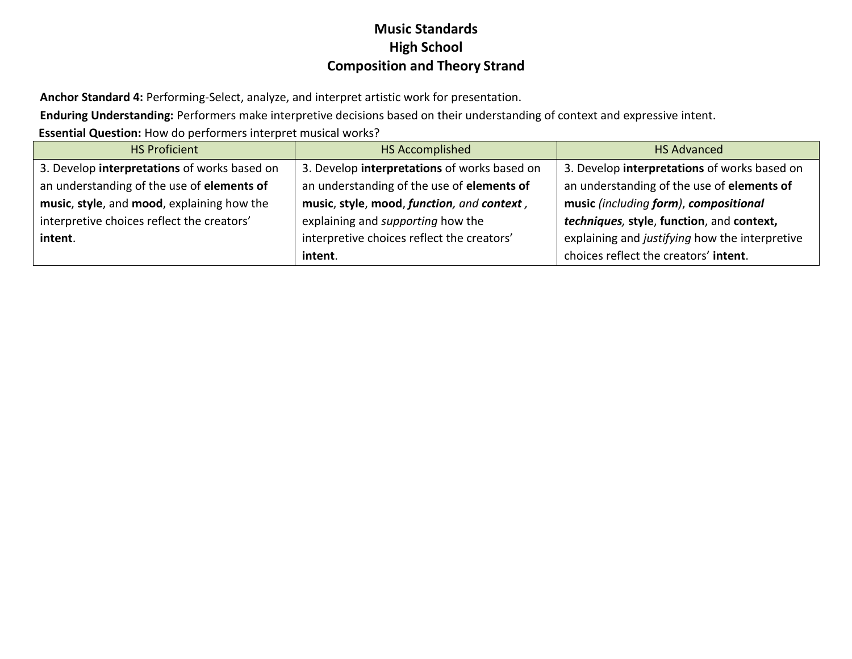**Anchor Standard 4:** Performing-Select, analyze, and interpret artistic work for presentation.

**Enduring Understanding:** Performers make interpretive decisions based on their understanding of context and expressive intent.

**Essential Question:** How do performers interpret musical works?

| <b>HS Proficient</b>                         | <b>HS Accomplished</b>                       | <b>HS Advanced</b>                             |
|----------------------------------------------|----------------------------------------------|------------------------------------------------|
| 3. Develop interpretations of works based on | 3. Develop interpretations of works based on | 3. Develop interpretations of works based on   |
| an understanding of the use of elements of   | an understanding of the use of elements of   | an understanding of the use of elements of     |
| music, style, and mood, explaining how the   | music, style, mood, function, and context,   | music (including form), compositional          |
| interpretive choices reflect the creators'   | explaining and supporting how the            | techniques, style, function, and context,      |
| intent.                                      | interpretive choices reflect the creators'   | explaining and justifying how the interpretive |
|                                              | intent.                                      | choices reflect the creators' intent.          |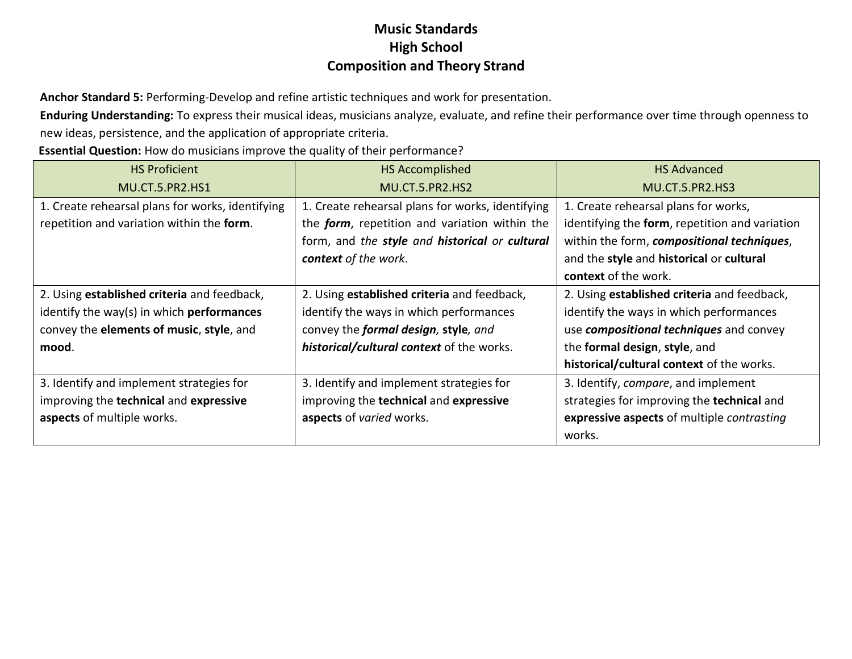**Anchor Standard 5:** Performing-Develop and refine artistic techniques and work for presentation.

**Enduring Understanding:** To express their musical ideas, musicians analyze, evaluate, and refine their performance over time through openness to new ideas, persistence, and the application of appropriate criteria.

**Essential Question:** How do musicians improve the quality of their performance?

| <b>HS Proficient</b>                             | <b>HS Accomplished</b>                                | <b>HS Advanced</b>                             |
|--------------------------------------------------|-------------------------------------------------------|------------------------------------------------|
| <b>MU.CT.5.PR2.HS1</b>                           | MU.CT.5.PR2.HS2                                       | <b>MU.CT.5.PR2.HS3</b>                         |
| 1. Create rehearsal plans for works, identifying | 1. Create rehearsal plans for works, identifying      | 1. Create rehearsal plans for works,           |
| repetition and variation within the form.        | the <i>form</i> , repetition and variation within the | identifying the form, repetition and variation |
|                                                  | form, and the style and historical or cultural        | within the form, compositional techniques,     |
|                                                  | context of the work.                                  | and the style and historical or cultural       |
|                                                  |                                                       | context of the work.                           |
| 2. Using established criteria and feedback,      | 2. Using established criteria and feedback,           | 2. Using established criteria and feedback,    |
| identify the way(s) in which performances        | identify the ways in which performances               | identify the ways in which performances        |
| convey the elements of music, style, and         | convey the formal design, style, and                  | use compositional techniques and convey        |
| mood.                                            | historical/cultural context of the works.             | the formal design, style, and                  |
|                                                  |                                                       | historical/cultural context of the works.      |
| 3. Identify and implement strategies for         | 3. Identify and implement strategies for              | 3. Identify, compare, and implement            |
| improving the technical and expressive           | improving the technical and expressive                | strategies for improving the technical and     |
| aspects of multiple works.                       | aspects of varied works.                              | expressive aspects of multiple contrasting     |
|                                                  |                                                       | works.                                         |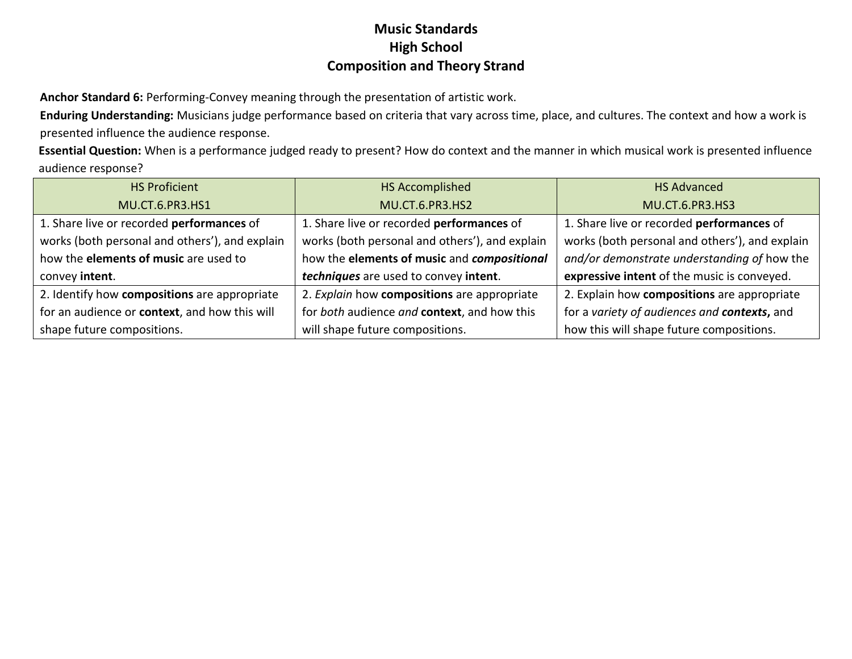**Anchor Standard 6:** Performing-Convey meaning through the presentation of artistic work.

**Enduring Understanding:** Musicians judge performance based on criteria that vary across time, place, and cultures. The context and how a work is presented influence the audience response.

**Essential Question:** When is a performance judged ready to present? How do context and the manner in which musical work is presented influence audience response?

| <b>HS Proficient</b>                           | HS Accomplished                                | <b>HS Advanced</b>                             |
|------------------------------------------------|------------------------------------------------|------------------------------------------------|
| MU.CT.6.PR3.HS1                                | MU.CT.6.PR3.HS2                                | <b>MU.CT.6.PR3.HS3</b>                         |
| 1. Share live or recorded performances of      | 1. Share live or recorded performances of      | 1. Share live or recorded performances of      |
| works (both personal and others'), and explain | works (both personal and others'), and explain | works (both personal and others'), and explain |
| how the elements of music are used to          | how the elements of music and compositional    | and/or demonstrate understanding of how the    |
| convey intent.                                 | techniques are used to convey intent.          | expressive intent of the music is conveyed.    |
| 2. Identify how compositions are appropriate   | 2. Explain how compositions are appropriate    | 2. Explain how compositions are appropriate    |
| for an audience or context, and how this will  | for both audience and context, and how this    | for a variety of audiences and contexts, and   |
| shape future compositions.                     | will shape future compositions.                | how this will shape future compositions.       |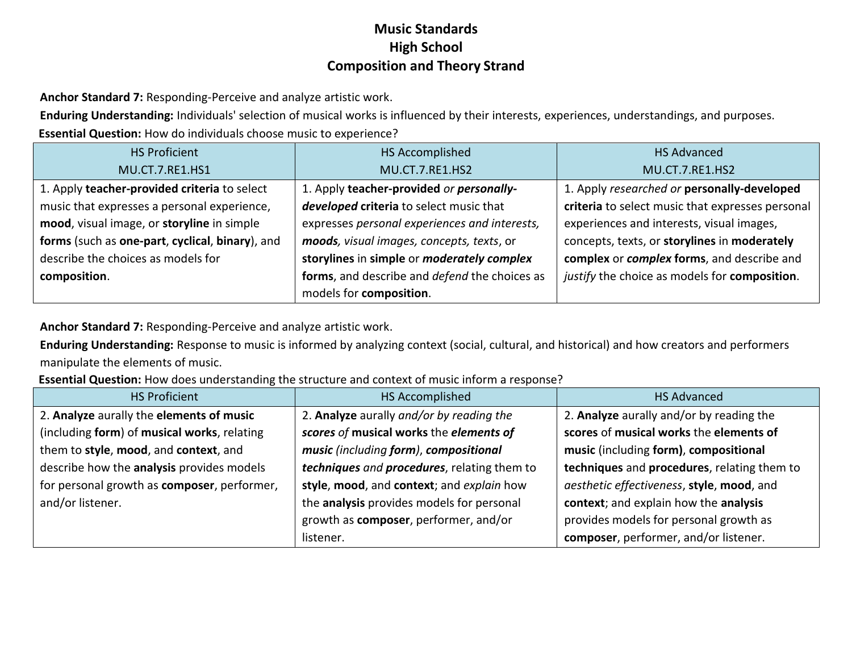**Anchor Standard 7:** Responding-Perceive and analyze artistic work.

**Enduring Understanding:** Individuals' selection of musical works is influenced by their interests, experiences, understandings, and purposes.

**Essential Question:** How do individuals choose music to experience?

| <b>HS Proficient</b>                            | HS Accomplished                                   | <b>HS Advanced</b>                               |
|-------------------------------------------------|---------------------------------------------------|--------------------------------------------------|
| MU.CT.7.RE1.HS1                                 | MU.CT.7.RE1.HS2                                   | MU.CT.7.RE1.HS2                                  |
| 1. Apply teacher-provided criteria to select    | 1. Apply teacher-provided or personally-          | 1. Apply researched or personally-developed      |
| music that expresses a personal experience,     | developed criteria to select music that           | criteria to select music that expresses personal |
| mood, visual image, or storyline in simple      | expresses personal experiences and interests,     | experiences and interests, visual images,        |
| forms (such as one-part, cyclical, binary), and | moods, visual images, concepts, texts, or         | concepts, texts, or storylines in moderately     |
| describe the choices as models for              | storylines in simple or <i>moderately complex</i> | complex or complex forms, and describe and       |
| composition.                                    | forms, and describe and defend the choices as     | justify the choice as models for composition.    |
|                                                 | models for composition.                           |                                                  |

**Anchor Standard 7:** Responding-Perceive and analyze artistic work.

**Enduring Understanding:** Response to music is informed by analyzing context (social, cultural, and historical) and how creators and performers manipulate the elements of music.

**Essential Question:** How does understanding the structure and context of music inform a response?

| <b>HS Proficient</b>                        | HS Accomplished                             | <b>HS Advanced</b>                          |
|---------------------------------------------|---------------------------------------------|---------------------------------------------|
| 2. Analyze aurally the elements of music    | 2. Analyze aurally and/or by reading the    | 2. Analyze aurally and/or by reading the    |
| (including form) of musical works, relating | scores of musical works the elements of     | scores of musical works the elements of     |
| them to style, mood, and context, and       | music (including form), compositional       | music (including form), compositional       |
| describe how the analysis provides models   | techniques and procedures, relating them to | techniques and procedures, relating them to |
| for personal growth as composer, performer, | style, mood, and context; and explain how   | aesthetic effectiveness, style, mood, and   |
| and/or listener.                            | the analysis provides models for personal   | context; and explain how the analysis       |
|                                             | growth as composer, performer, and/or       | provides models for personal growth as      |
|                                             | listener.                                   | composer, performer, and/or listener.       |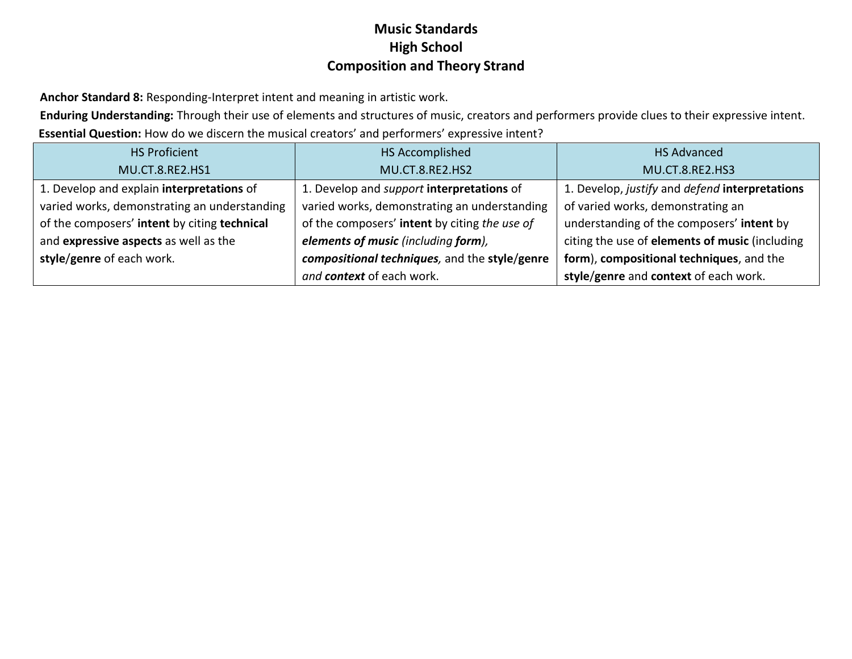**Anchor Standard 8:** Responding-Interpret intent and meaning in artistic work.

**Enduring Understanding:** Through their use of elements and structures of music, creators and performers provide clues to their expressive intent. **Essential Question:** How do we discern the musical creators' and performers' expressive intent?

| <b>HS Proficient</b>                         | <b>HS Accomplished</b>                           | <b>HS Advanced</b>                             |
|----------------------------------------------|--------------------------------------------------|------------------------------------------------|
| MU.CT.8.RE2.HS1                              | MU.CT.8.RE2.HS2                                  | MU.CT.8.RE2.HS3                                |
| 1. Develop and explain interpretations of    | 1. Develop and <i>support</i> interpretations of | 1. Develop, justify and defend interpretations |
| varied works, demonstrating an understanding | varied works, demonstrating an understanding     | of varied works, demonstrating an              |
| of the composers' intent by citing technical | of the composers' intent by citing the use of    | understanding of the composers' intent by      |
| and expressive aspects as well as the        | elements of music (including form),              | citing the use of elements of music (including |
| style/genre of each work.                    | compositional techniques, and the style/genre    | form), compositional techniques, and the       |
|                                              | and context of each work.                        | style/genre and context of each work.          |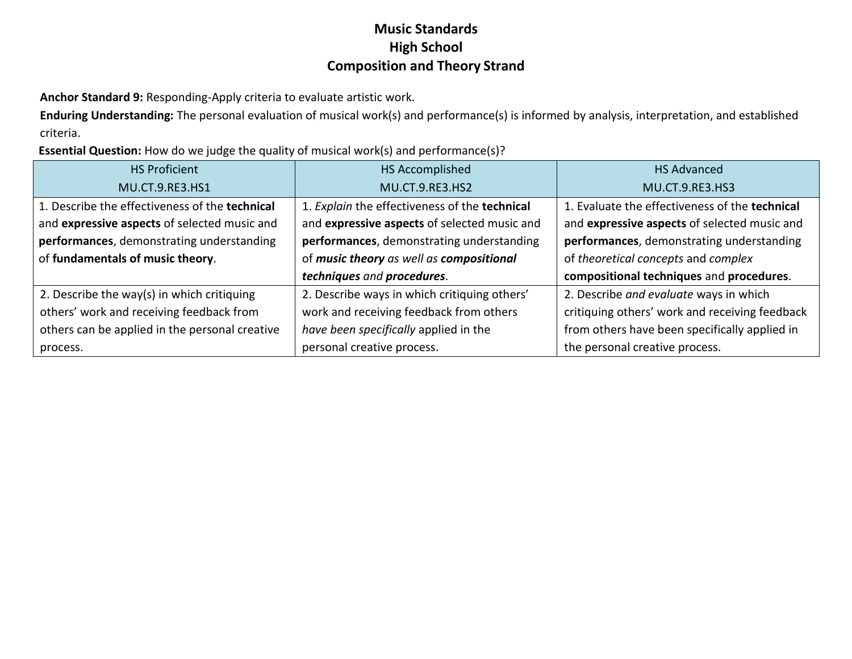**Anchor Standard 9:** Responding-Apply criteria to evaluate artistic work.

**Enduring Understanding:** The personal evaluation of musical work(s) and performance(s) is informed by analysis, interpretation, and established criteria.

**Essential Question:** How do we judge the quality of musical work(s) and performance(s)?

| <b>HS Proficient</b>                           | HS Accomplished                               | <b>HS Advanced</b>                             |
|------------------------------------------------|-----------------------------------------------|------------------------------------------------|
| MU.CT.9.RE3.HS1                                | <b>MU.CT.9.RE3.HS2</b>                        | MU.CT.9.RE3.HS3                                |
| 1. Describe the effectiveness of the technical | 1. Explain the effectiveness of the technical | 1. Evaluate the effectiveness of the technical |
| and expressive aspects of selected music and   | and expressive aspects of selected music and  | and expressive aspects of selected music and   |
| performances, demonstrating understanding      | performances, demonstrating understanding     | performances, demonstrating understanding      |
| of fundamentals of music theory.               | of music theory as well as compositional      | of theoretical concepts and complex            |
|                                                | techniques and procedures.                    | compositional techniques and procedures.       |
| 2. Describe the way(s) in which critiquing     | 2. Describe ways in which critiquing others'  | 2. Describe and evaluate ways in which         |
| others' work and receiving feedback from       | work and receiving feedback from others       | critiquing others' work and receiving feedback |
| others can be applied in the personal creative | have been specifically applied in the         | from others have been specifically applied in  |
| process.                                       | personal creative process.                    | the personal creative process.                 |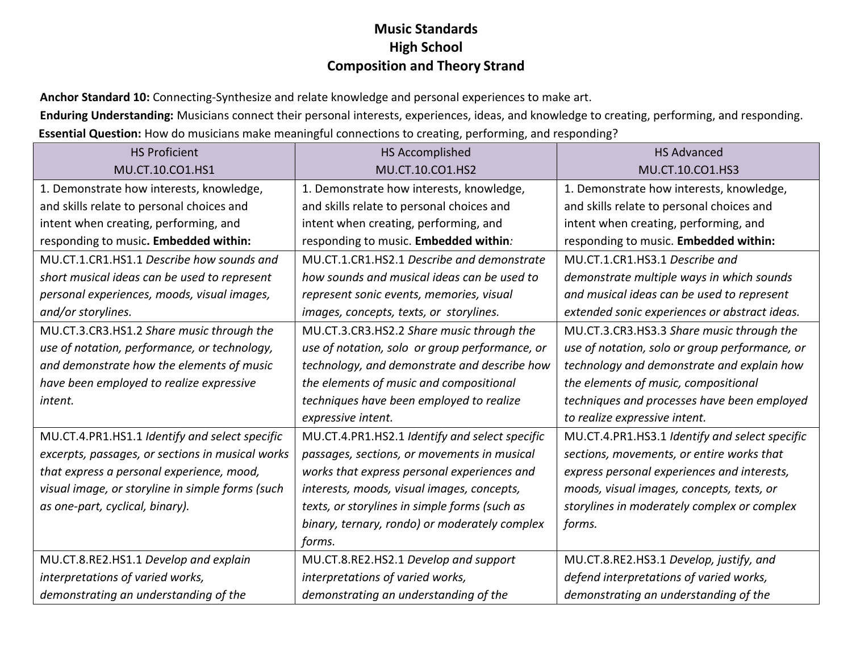**Anchor Standard 10:** Connecting-Synthesize and relate knowledge and personal experiences to make art.

**Enduring Understanding:** Musicians connect their personal interests, experiences, ideas, and knowledge to creating, performing, and responding. **Essential Question:** How do musicians make meaningful connections to creating, performing, and responding?

| <b>HS Proficient</b>                             | <b>HS Accomplished</b>                         | <b>HS Advanced</b>                             |
|--------------------------------------------------|------------------------------------------------|------------------------------------------------|
| MU.CT.10.CO1.HS1                                 | MU.CT.10.CO1.HS2                               | MU.CT.10.CO1.HS3                               |
| 1. Demonstrate how interests, knowledge,         | 1. Demonstrate how interests, knowledge,       | 1. Demonstrate how interests, knowledge,       |
| and skills relate to personal choices and        | and skills relate to personal choices and      | and skills relate to personal choices and      |
| intent when creating, performing, and            | intent when creating, performing, and          | intent when creating, performing, and          |
| responding to music. Embedded within:            | responding to music. Embedded within:          | responding to music. Embedded within:          |
| MU.CT.1.CR1.HS1.1 Describe how sounds and        | MU.CT.1.CR1.HS2.1 Describe and demonstrate     | MU.CT.1.CR1.HS3.1 Describe and                 |
| short musical ideas can be used to represent     | how sounds and musical ideas can be used to    | demonstrate multiple ways in which sounds      |
| personal experiences, moods, visual images,      | represent sonic events, memories, visual       | and musical ideas can be used to represent     |
| and/or storylines.                               | images, concepts, texts, or storylines.        | extended sonic experiences or abstract ideas.  |
| MU.CT.3.CR3.HS1.2 Share music through the        | MU.CT.3.CR3.HS2.2 Share music through the      | MU.CT.3.CR3.HS3.3 Share music through the      |
| use of notation, performance, or technology,     | use of notation, solo or group performance, or | use of notation, solo or group performance, or |
| and demonstrate how the elements of music        | technology, and demonstrate and describe how   | technology and demonstrate and explain how     |
| have been employed to realize expressive         | the elements of music and compositional        | the elements of music, compositional           |
| intent.                                          | techniques have been employed to realize       | techniques and processes have been employed    |
|                                                  | expressive intent.                             | to realize expressive intent.                  |
| MU.CT.4.PR1.HS1.1 Identify and select specific   | MU.CT.4.PR1.HS2.1 Identify and select specific | MU.CT.4.PR1.HS3.1 Identify and select specific |
| excerpts, passages, or sections in musical works | passages, sections, or movements in musical    | sections, movements, or entire works that      |
| that express a personal experience, mood,        | works that express personal experiences and    | express personal experiences and interests,    |
| visual image, or storyline in simple forms (such | interests, moods, visual images, concepts,     | moods, visual images, concepts, texts, or      |
| as one-part, cyclical, binary).                  | texts, or storylines in simple forms (such as  | storylines in moderately complex or complex    |
|                                                  | binary, ternary, rondo) or moderately complex  | forms.                                         |
|                                                  | forms.                                         |                                                |
| MU.CT.8.RE2.HS1.1 Develop and explain            | MU.CT.8.RE2.HS2.1 Develop and support          | MU.CT.8.RE2.HS3.1 Develop, justify, and        |
| interpretations of varied works,                 | interpretations of varied works,               | defend interpretations of varied works,        |
| demonstrating an understanding of the            | demonstrating an understanding of the          | demonstrating an understanding of the          |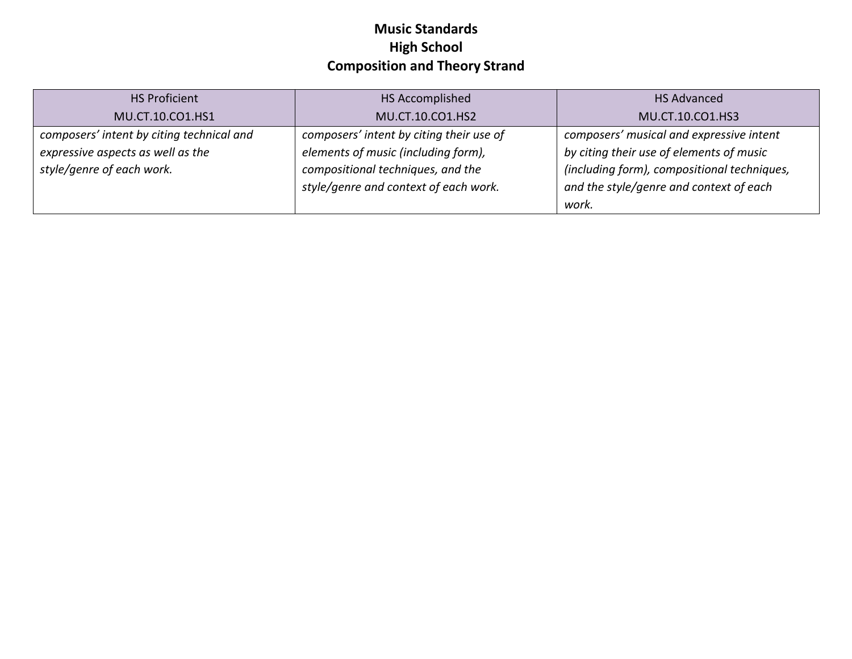| <b>HS Proficient</b>                      | HS Accomplished                          | <b>HS Advanced</b>                          |
|-------------------------------------------|------------------------------------------|---------------------------------------------|
| MU.CT.10.CO1.HS1                          | MU.CT.10.CO1.HS2                         | MU.CT.10.CO1.HS3                            |
| composers' intent by citing technical and | composers' intent by citing their use of | composers' musical and expressive intent    |
| expressive aspects as well as the         | elements of music (including form),      | by citing their use of elements of music    |
| style/genre of each work.                 | compositional techniques, and the        | (including form), compositional techniques, |
|                                           | style/genre and context of each work.    | and the style/genre and context of each     |
|                                           |                                          | work.                                       |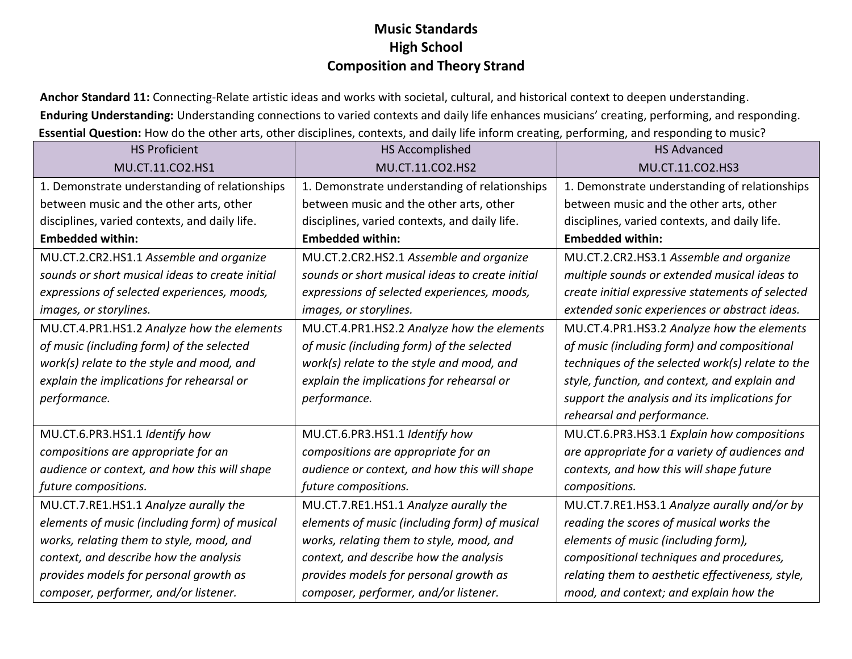**Anchor Standard 11:** Connecting-Relate artistic ideas and works with societal, cultural, and historical context to deepen understanding. **Enduring Understanding:** Understanding connections to varied contexts and daily life enhances musicians' creating, performing, and responding. **Essential Question:** How do the other arts, other disciplines, contexts, and daily life inform creating, performing, and responding to music?

| <b>HS Proficient</b>                            | HS Accomplished                                 | <b>HS Advanced</b>                               |
|-------------------------------------------------|-------------------------------------------------|--------------------------------------------------|
| MU.CT.11.CO2.HS1                                | MU.CT.11.CO2.HS2                                | MU.CT.11.CO2.HS3                                 |
| 1. Demonstrate understanding of relationships   | 1. Demonstrate understanding of relationships   | 1. Demonstrate understanding of relationships    |
| between music and the other arts, other         | between music and the other arts, other         | between music and the other arts, other          |
| disciplines, varied contexts, and daily life.   | disciplines, varied contexts, and daily life.   | disciplines, varied contexts, and daily life.    |
| <b>Embedded within:</b>                         | <b>Embedded within:</b>                         | <b>Embedded within:</b>                          |
| MU.CT.2.CR2.HS1.1 Assemble and organize         | MU.CT.2.CR2.HS2.1 Assemble and organize         | MU.CT.2.CR2.HS3.1 Assemble and organize          |
| sounds or short musical ideas to create initial | sounds or short musical ideas to create initial | multiple sounds or extended musical ideas to     |
| expressions of selected experiences, moods,     | expressions of selected experiences, moods,     | create initial expressive statements of selected |
| images, or storylines.                          | images, or storylines.                          | extended sonic experiences or abstract ideas.    |
| MU.CT.4.PR1.HS1.2 Analyze how the elements      | MU.CT.4.PR1.HS2.2 Analyze how the elements      | MU.CT.4.PR1.HS3.2 Analyze how the elements       |
| of music (including form) of the selected       | of music (including form) of the selected       | of music (including form) and compositional      |
| work(s) relate to the style and mood, and       | work(s) relate to the style and mood, and       | techniques of the selected work(s) relate to the |
| explain the implications for rehearsal or       | explain the implications for rehearsal or       | style, function, and context, and explain and    |
| performance.                                    | performance.                                    | support the analysis and its implications for    |
|                                                 |                                                 | rehearsal and performance.                       |
| MU.CT.6.PR3.HS1.1 Identify how                  | MU.CT.6.PR3.HS1.1 Identify how                  | MU.CT.6.PR3.HS3.1 Explain how compositions       |
| compositions are appropriate for an             | compositions are appropriate for an             | are appropriate for a variety of audiences and   |
| audience or context, and how this will shape    | audience or context, and how this will shape    | contexts, and how this will shape future         |
| future compositions.                            | future compositions.                            | compositions.                                    |
| MU.CT.7.RE1.HS1.1 Analyze aurally the           | MU.CT.7.RE1.HS1.1 Analyze aurally the           | MU.CT.7.RE1.HS3.1 Analyze aurally and/or by      |
| elements of music (including form) of musical   | elements of music (including form) of musical   | reading the scores of musical works the          |
| works, relating them to style, mood, and        | works, relating them to style, mood, and        | elements of music (including form),              |
| context, and describe how the analysis          | context, and describe how the analysis          | compositional techniques and procedures,         |
| provides models for personal growth as          | provides models for personal growth as          | relating them to aesthetic effectiveness, style, |
| composer, performer, and/or listener.           | composer, performer, and/or listener.           | mood, and context; and explain how the           |